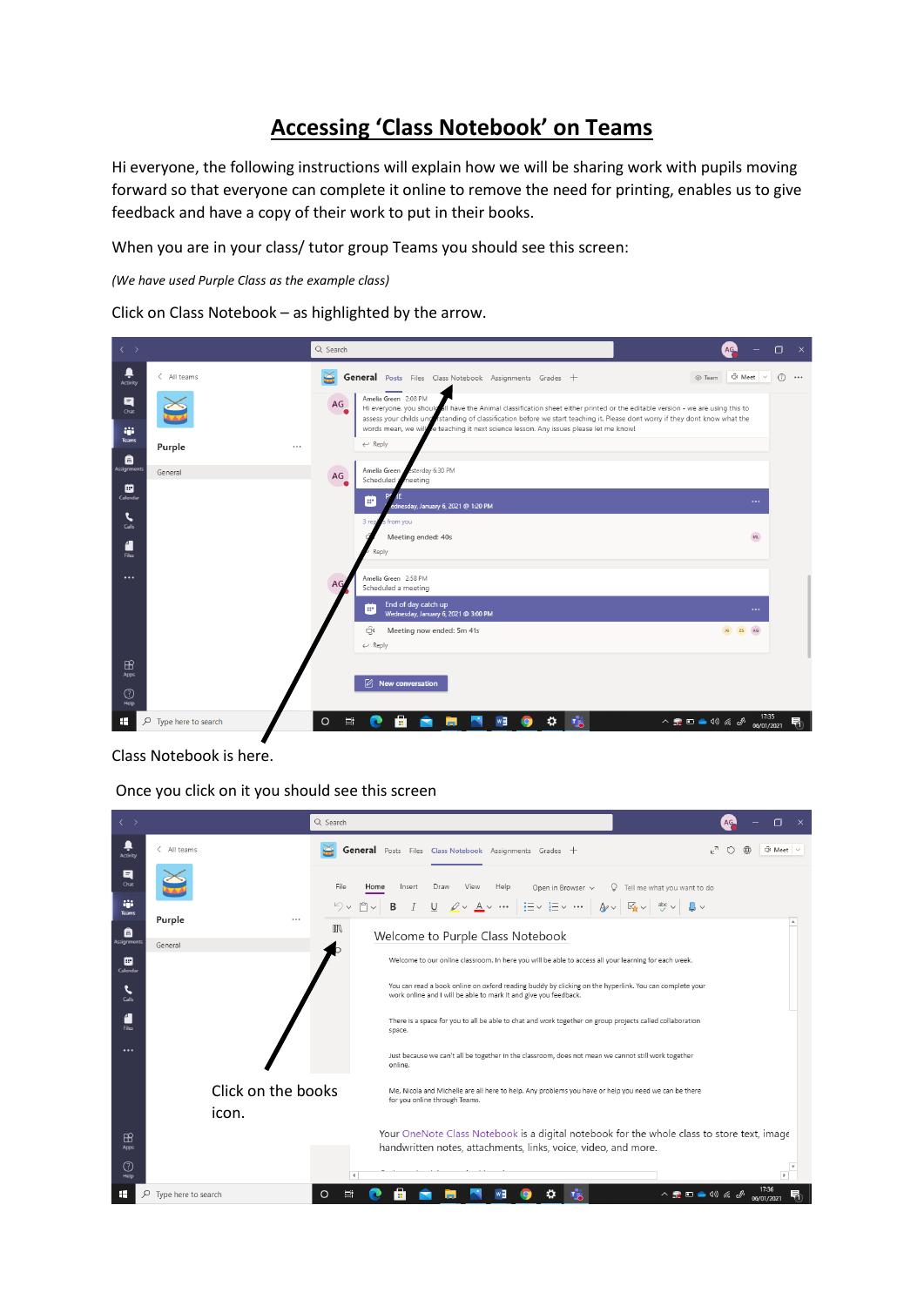## **Accessing 'Class Notebook' on Teams**

Hi everyone, the following instructions will explain how we will be sharing work with pupils moving forward so that everyone can complete it online to remove the need for printing, enables us to give feedback and have a copy of their work to put in their books.

When you are in your class/ tutor group Teams you should see this screen:

*(We have used Purple Class as the example class)*

Click on Class Notebook – as highlighted by the arrow.

| $\longleftrightarrow$ |                     | Q Search     |                                                                                                                                                                                                                                                                                                                                                                                  | AG                                                                                                                                                                                                                                                                                                                                                                         | $\Box$<br>$\mathsf{X}$ |
|-----------------------|---------------------|--------------|----------------------------------------------------------------------------------------------------------------------------------------------------------------------------------------------------------------------------------------------------------------------------------------------------------------------------------------------------------------------------------|----------------------------------------------------------------------------------------------------------------------------------------------------------------------------------------------------------------------------------------------------------------------------------------------------------------------------------------------------------------------------|------------------------|
| Ļ<br>Activity         | < All teams         | ⊯            | General Posts Files Class Notebook Assignments Grades +                                                                                                                                                                                                                                                                                                                          | © Team © Meet ~                                                                                                                                                                                                                                                                                                                                                            | $\circ$<br>            |
| 티<br>Chat<br>W.       |                     | AG           | Amelia Green 2:08 PM<br>Hi everyone, you should all have the Animal classification sheet either printed or the editable version - we are using this to<br>assess your childs und istanding of classification before we start teaching it. Please dont worry if they dont know what the<br>words mean, we will be teaching it next science lesson. Any issues please let me know! |                                                                                                                                                                                                                                                                                                                                                                            |                        |
| Teams<br>â            | Purple<br>$\cdots$  |              | $\leftarrow$ Reply                                                                                                                                                                                                                                                                                                                                                               |                                                                                                                                                                                                                                                                                                                                                                            |                        |
| Assignments           | General             | AG           | esterday 6:30 PM<br>Amelia Green<br>Scheduled a<br>neeting                                                                                                                                                                                                                                                                                                                       |                                                                                                                                                                                                                                                                                                                                                                            |                        |
| ▦<br>Calendar         |                     |              | œ<br>ednesday, January 6, 2021 @ 1:20 PM                                                                                                                                                                                                                                                                                                                                         | $\cdots$                                                                                                                                                                                                                                                                                                                                                                   |                        |
| G<br>Calls            |                     |              | 3 rep<br>from you                                                                                                                                                                                                                                                                                                                                                                |                                                                                                                                                                                                                                                                                                                                                                            |                        |
| 4<br><b>Files</b>     |                     |              | Meeting ended: 40s<br>Reply                                                                                                                                                                                                                                                                                                                                                      | ML                                                                                                                                                                                                                                                                                                                                                                         |                        |
| $\cdots$              |                     | AG.          | Amelia Green 2:58 PM<br>Scheduled a meeting                                                                                                                                                                                                                                                                                                                                      |                                                                                                                                                                                                                                                                                                                                                                            |                        |
|                       |                     |              | End of day catch up<br>œ<br>Wednesday, January 6, 2021 @ 3:00 PM                                                                                                                                                                                                                                                                                                                 | $\cdots$                                                                                                                                                                                                                                                                                                                                                                   |                        |
|                       |                     |              | Θ<br>Meeting now ended: 5m 41s<br>$\leftarrow$ Reply                                                                                                                                                                                                                                                                                                                             | JG ZS AG                                                                                                                                                                                                                                                                                                                                                                   |                        |
| $\mathbb B$<br>Apps   |                     |              |                                                                                                                                                                                                                                                                                                                                                                                  |                                                                                                                                                                                                                                                                                                                                                                            |                        |
| ℗<br>Help             |                     |              | $[2]$ New conversation                                                                                                                                                                                                                                                                                                                                                           |                                                                                                                                                                                                                                                                                                                                                                            |                        |
| Q<br>œ                | Type here to search | $\circ$<br>耳 | Å<br>т.<br>≎<br>w∃<br>c                                                                                                                                                                                                                                                                                                                                                          | 17:35<br>$\begin{picture}(150,10) \put(0,0){\line(1,0){10}} \put(15,0){\line(1,0){10}} \put(15,0){\line(1,0){10}} \put(15,0){\line(1,0){10}} \put(15,0){\line(1,0){10}} \put(15,0){\line(1,0){10}} \put(15,0){\line(1,0){10}} \put(15,0){\line(1,0){10}} \put(15,0){\line(1,0){10}} \put(15,0){\line(1,0){10}} \put(15,0){\line(1,0){10}} \put(15,0){\line($<br>06/01/2021 | 唏                      |

Class Notebook is here.

Once you click on it you should see this screen